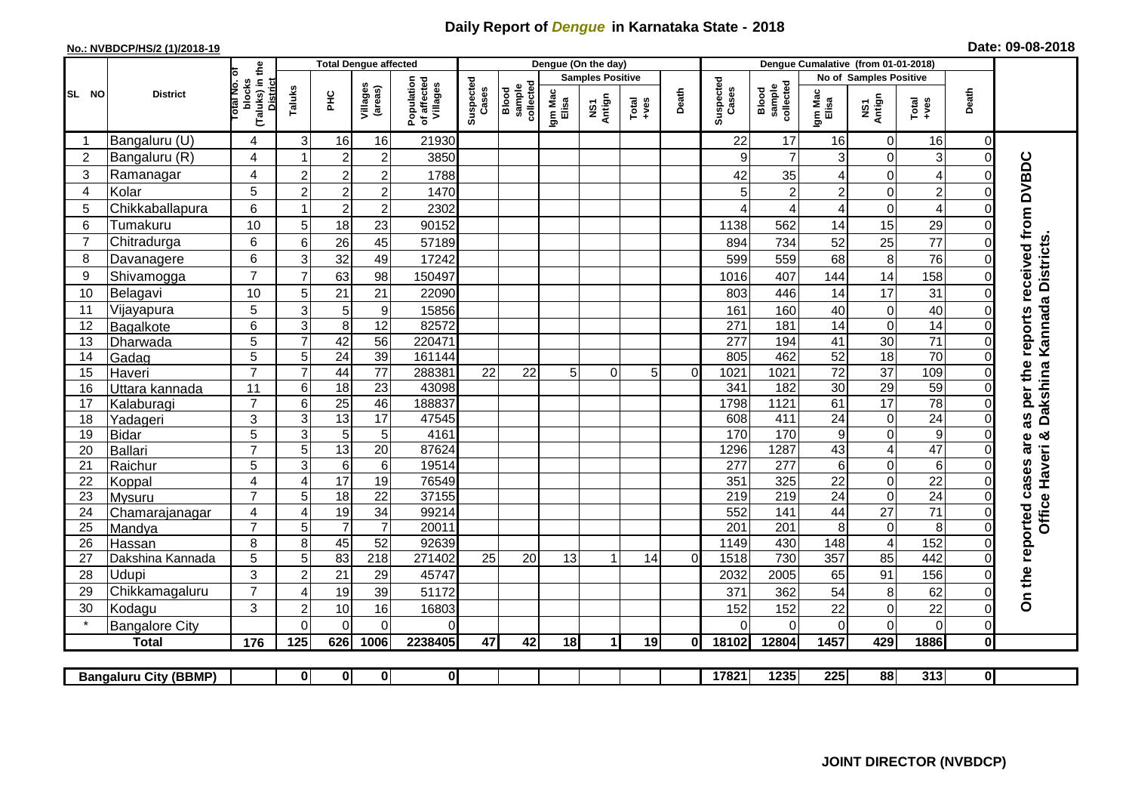## **Daily Report of** *Dengue* **in Karnataka State - 2018**

## **No.: NVBDCP/HS/2 (1)/2018-19 Date: 09-08-2018**

|                                                                                                                                                              | <b>District</b>          |                                                      | <b>Total Dengue affected</b>       |                       |                                       |                    |                              |                  |                         | Dengue (On the day) |       |                    |                              |                  |                                   |                               |                                   |                      |                             |
|--------------------------------------------------------------------------------------------------------------------------------------------------------------|--------------------------|------------------------------------------------------|------------------------------------|-----------------------|---------------------------------------|--------------------|------------------------------|------------------|-------------------------|---------------------|-------|--------------------|------------------------------|------------------|-----------------------------------|-------------------------------|-----------------------------------|----------------------|-----------------------------|
| SL NO                                                                                                                                                        |                          |                                                      |                                    |                       |                                       |                    |                              |                  | <b>Samples Positive</b> |                     |       |                    |                              |                  | No of Samples Positive            |                               |                                   |                      |                             |
|                                                                                                                                                              |                          | (Taluks) in the<br>District<br>otal No. of<br>blocks | Villages<br>(areas)<br>Taluks<br>Ξ |                       | Population<br>of affected<br>Villages | Suspected<br>Cases | Blood<br>sample<br>collected | Igm Mac<br>Elisa | NS1<br>Antign           | $Totael$            | Death | Suspected<br>Cases | Blood<br>sample<br>collected | Igm Mac<br>Elisa | NS1<br>Antign                     | Total<br>+ves                 | Death                             |                      |                             |
|                                                                                                                                                              | Bangaluru (U)            | 4                                                    | 3                                  | 16                    | 16                                    | 21930              |                              |                  |                         |                     |       |                    | 22                           | 17               | 16                                | $\mathbf 0$                   | 16                                | $\Omega$             |                             |
| $\overline{2}$                                                                                                                                               | Bangaluru (R)            | $\overline{4}$                                       |                                    | $\overline{2}$        | $\overline{c}$                        | 3850               |                              |                  |                         |                     |       |                    | 9                            | $\overline{7}$   | 3                                 | $\mathbf 0$                   | $\ensuremath{\mathsf{3}}$         | $\Omega$             |                             |
| 3                                                                                                                                                            | Ramanagar                | 4                                                    | $\overline{2}$                     | $\overline{c}$        | $\overline{c}$                        | 1788               |                              |                  |                         |                     |       |                    | 42                           | 35               | 4                                 | $\overline{0}$                | $\overline{\mathcal{A}}$          | $\Omega$             | reports received from DVBDC |
| 4                                                                                                                                                            | Kolar                    | 5                                                    | $\overline{c}$                     | $\overline{c}$        | $\boldsymbol{2}$                      | 1470               |                              |                  |                         |                     |       |                    | 5                            | $\overline{c}$   | $\overline{c}$                    | 0                             | $\overline{c}$                    | $\Omega$             |                             |
| 5                                                                                                                                                            | Chikkaballapura          | 6                                                    |                                    | $\overline{c}$        | $\mathbf 2$                           | 2302               |                              |                  |                         |                     |       |                    |                              | 4                | 4                                 | $\mathbf 0$                   | 4                                 | 0                    |                             |
| 6                                                                                                                                                            | Tumakuru                 | 10                                                   | 5                                  | 18                    | 23                                    | 90152              |                              |                  |                         |                     |       |                    | 1138                         | 562              | 14                                | 15                            | 29                                | $\Omega$             |                             |
| $\overline{7}$                                                                                                                                               | Chitradurga              | 6                                                    | 6                                  | 26                    | 45                                    | 57189              |                              |                  |                         |                     |       |                    | 894                          | 734              | 52                                | 25                            | 77                                | $\Omega$             |                             |
| 8                                                                                                                                                            | Davanagere               | 6                                                    | 3                                  | 32                    | 49                                    | 17242              |                              |                  |                         |                     |       |                    | 599                          | 559              | 68                                | 8                             | 76                                | $\Omega$             |                             |
| 9                                                                                                                                                            | Shivamogga               | $\overline{7}$                                       | $\overline{7}$                     | 63                    | 98                                    | 150497             |                              |                  |                         |                     |       |                    | 1016                         | 407              | 144                               | 14                            | 158                               | $\Omega$             | Dakshina Kannada Districts  |
| 10                                                                                                                                                           | Belagavi                 | 10                                                   | 5                                  | 21                    | 21                                    | 22090              |                              |                  |                         |                     |       |                    | 803                          | 446              | 14                                | 17                            | 31                                | $\Omega$             |                             |
| 11                                                                                                                                                           | Vijayapura               | 5                                                    | 3                                  | 5                     | $\boldsymbol{9}$                      | 15856              |                              |                  |                         |                     |       |                    | 161                          | 160              | 40                                | $\mathbf 0$                   | 40                                | $\Omega$             |                             |
| 12                                                                                                                                                           | Bagalkote                | 6                                                    | 3                                  | 8                     | 12                                    | 82572              |                              |                  |                         |                     |       |                    | 271                          | 181              | 14                                | $\mathbf 0$                   | 14                                | $\Omega$             |                             |
| 13                                                                                                                                                           | Dharwada                 | 5                                                    | $\overline{7}$                     | 42                    | $\overline{56}$                       | 220471             |                              |                  |                         |                     |       |                    | 277                          | 194              | 41                                | 30                            | $\overline{71}$                   | $\Omega$             |                             |
| 14                                                                                                                                                           | Gadag                    | $\overline{5}$                                       | 5                                  | $\overline{24}$       | 39                                    | 161144             |                              |                  |                         |                     |       |                    | 805                          | 462              | 52                                | 18                            | 70                                | $\Omega$             |                             |
| 15                                                                                                                                                           | Haveri                   | $\overline{7}$                                       | $\overline{7}$                     | 44                    | $\overline{77}$                       | 288381             | 22                           | 22               | 5                       | $\Omega$            | 5     | $\Omega$           | 1021                         | 1021             | $\overline{72}$                   | $\overline{37}$               | 109                               | $\Omega$             | as per the                  |
| 16                                                                                                                                                           | Uttara kannada           | 11                                                   | 6                                  | $\overline{18}$       | $\overline{23}$                       | 43098              |                              |                  |                         |                     |       |                    | 341                          | 182              | 30                                | 29                            | 59                                | $\Omega$             |                             |
| 17                                                                                                                                                           | Kalaburagi               | $\overline{7}$                                       | 6                                  | 25                    | 46                                    | 188837             |                              |                  |                         |                     |       |                    | 1798                         | 1121             | 61                                | $\overline{17}$               | $\overline{78}$                   | 0                    |                             |
| 18                                                                                                                                                           | Yadageri                 | 3                                                    | 3                                  | 13                    | 17                                    | 47545              |                              |                  |                         |                     |       |                    | 608                          | 411              | 24                                | $\mathbf 0$                   | $\overline{24}$                   | $\Omega$             |                             |
| 19                                                                                                                                                           | Bidar                    | $\overline{5}$                                       | 3                                  | 5                     | 5                                     | 4161               |                              |                  |                         |                     |       |                    | 170                          | 170              | $\boldsymbol{9}$                  | $\mathbf 0$                   | $\overline{9}$                    | $\Omega$             | න්<br>are                   |
| 20                                                                                                                                                           | Ballari                  | $\overline{7}$                                       | 5                                  | 13                    | $\overline{20}$                       | 87624              |                              |                  |                         |                     |       |                    | 1296                         | 1287             | 43                                | $\overline{\mathcal{A}}$      | 47                                | $\Omega$             |                             |
| 21                                                                                                                                                           | Raichur                  | $\overline{5}$<br>4                                  | $\overline{3}$<br>$\overline{4}$   | $6\phantom{1}6$<br>17 | $\,6$<br>19                           | 19514<br>76549     |                              |                  |                         |                     |       |                    | 277<br>351                   | 277<br>325       | $6\phantom{a}$<br>$\overline{22}$ | $\overline{0}$                | $\overline{6}$<br>$\overline{22}$ | $\Omega$             |                             |
| 22<br>23                                                                                                                                                     | Koppal                   | $\overline{7}$                                       | 5                                  | $\overline{18}$       | $\overline{22}$                       | 37155              |                              |                  |                         |                     |       |                    | $\overline{219}$             | 219              | $\overline{24}$                   | $\mathbf 0$<br>$\overline{0}$ | 24                                | $\Omega$<br>$\Omega$ |                             |
| 24                                                                                                                                                           | Mysuru<br>Chamarajanagar | $\overline{4}$                                       | $\overline{4}$                     | 19                    | $\overline{34}$                       | 99214              |                              |                  |                         |                     |       |                    | 552                          | 141              | 44                                | $\overline{27}$               | $\overline{71}$                   | $\Omega$             |                             |
| 25                                                                                                                                                           | Mandya                   | $\overline{7}$                                       | 5                                  | $\overline{7}$        | $\overline{7}$                        | 20011              |                              |                  |                         |                     |       |                    | $\overline{201}$             | $\overline{201}$ | 8                                 | $\boldsymbol{0}$              | 8                                 | $\Omega$             | Office Haveri               |
| 26                                                                                                                                                           | Hassan                   | 8                                                    | 8                                  | 45                    | 52                                    | 92639              |                              |                  |                         |                     |       |                    | 1149                         | 430              | 148                               | $\overline{4}$                | 152                               | $\Omega$             |                             |
| 27                                                                                                                                                           | Dakshina Kannada         | 5                                                    | 5                                  | 83                    | 218                                   | 271402             | 25                           | 20               | 13                      | 1                   | 14    | $\overline{0}$     | 1518                         | 730              | 357                               | 85                            | 442                               | $\Omega$             |                             |
| 28                                                                                                                                                           | Udupi                    | 3                                                    | $\overline{2}$                     | 21                    | 29                                    | 45747              |                              |                  |                         |                     |       |                    | 2032                         | 2005             | 65                                | 91                            | 156                               | $\Omega$             |                             |
| 29                                                                                                                                                           | Chikkamagaluru           | $\overline{7}$                                       | 4                                  | 19                    | 39                                    | 51172              |                              |                  |                         |                     |       |                    | 371                          | 362              | 54                                | 8                             | 62                                | 0                    | On the reported cases       |
| 30                                                                                                                                                           | Kodagu                   | 3                                                    | $\overline{2}$                     | 10                    | 16                                    | 16803              |                              |                  |                         |                     |       |                    | 152                          | 152              | 22                                | $\mathbf 0$                   | 22                                | $\mathbf 0$          |                             |
|                                                                                                                                                              | <b>Bangalore City</b>    |                                                      | $\Omega$                           | $\Omega$              | $\Omega$                              | 0                  |                              |                  |                         |                     |       |                    | $\Omega$                     | $\Omega$         | $\Omega$                          | $\mathbf 0$                   | $\mathbf 0$                       | $\Omega$             |                             |
|                                                                                                                                                              | <b>Total</b>             | 176                                                  | 125                                | 626                   | 1006                                  | 2238405            | 47                           | 42               | 18                      | 1                   | 19    | 0I                 | 18102                        | 12804            | 1457                              | 429                           | 1886                              | 0                    |                             |
|                                                                                                                                                              |                          |                                                      |                                    |                       |                                       |                    |                              |                  |                         |                     |       |                    |                              |                  |                                   |                               |                                   |                      |                             |
| $\overline{\mathbf{0}}$<br>17821<br>1235<br>225<br>88<br>313<br>$\mathbf{0}$<br>$\mathbf{0}$<br>$\mathbf{0}$<br>$\mathbf{0}$<br><b>Bangaluru City (BBMP)</b> |                          |                                                      |                                    |                       |                                       |                    |                              |                  |                         |                     |       |                    |                              |                  |                                   |                               |                                   |                      |                             |